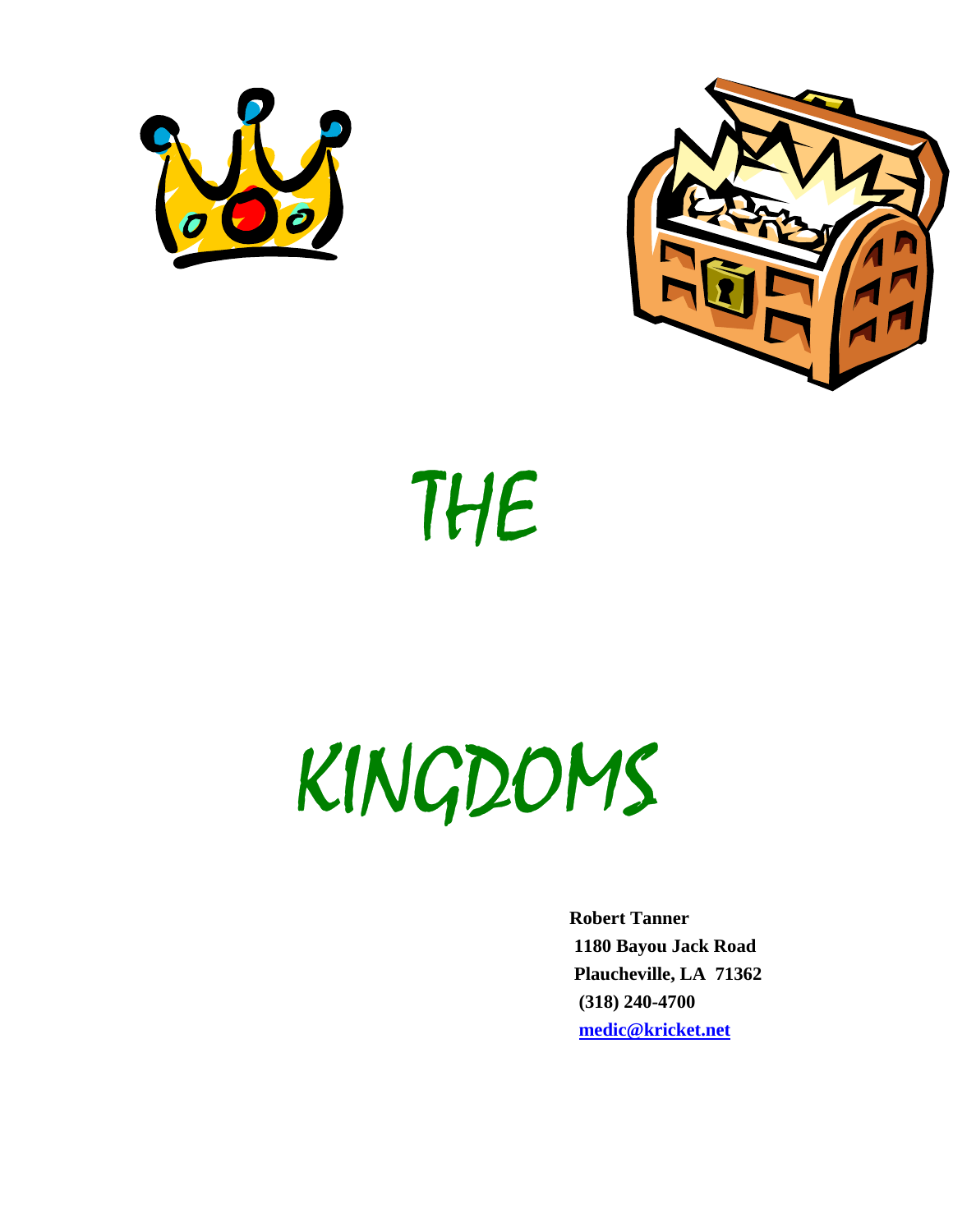



# THE

# KINGDOMS

 **Robert Tanner 1180 Bayou Jack Road Plaucheville, LA 71362 (318) 240-4700 medic@kricket.net**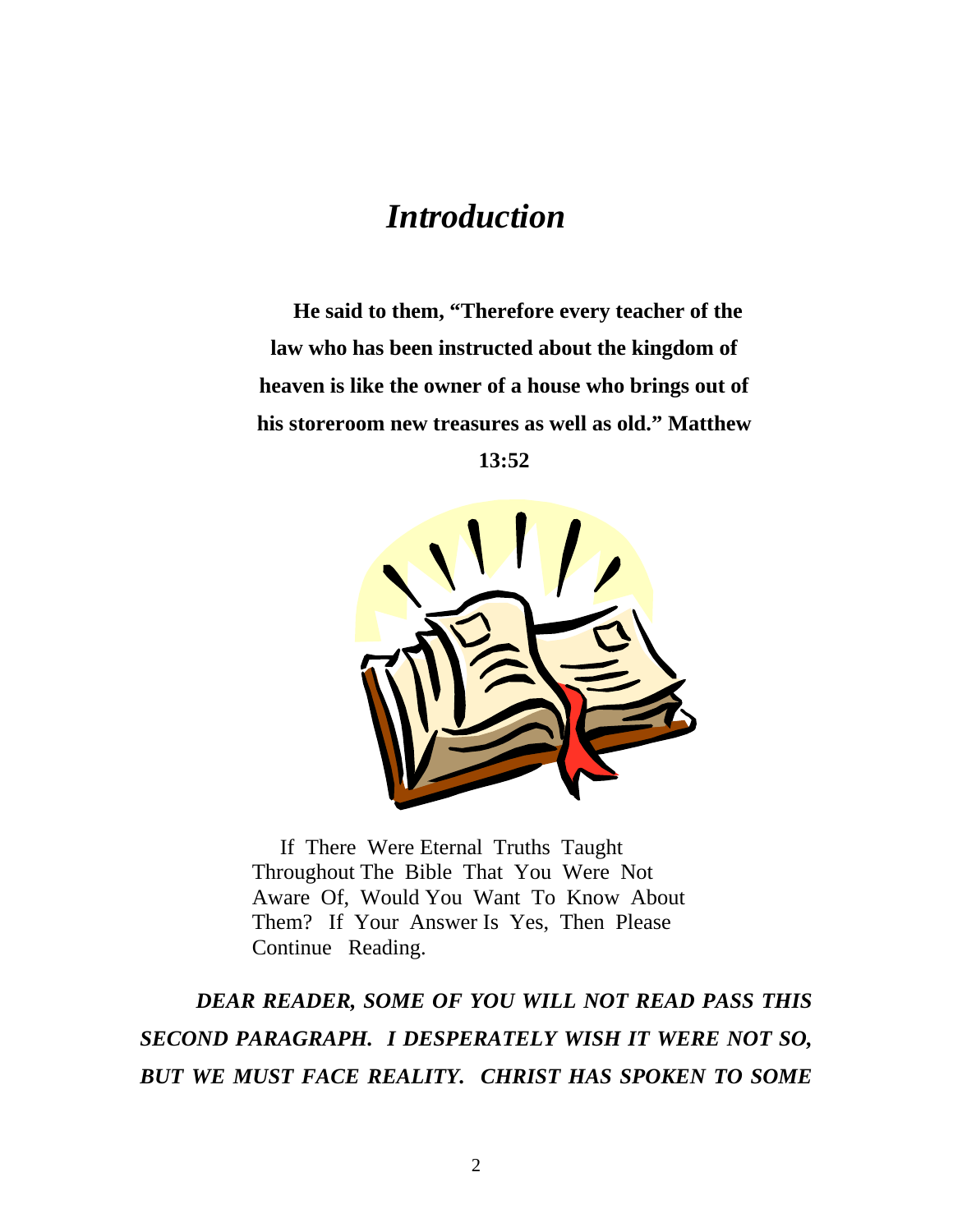## *Introduction*

**He said to them, "Therefore every teacher of the law who has been instructed about the kingdom of heaven is like the owner of a house who brings out of his storeroom new treasures as well as old." Matthew 13:52** 



If There Were Eternal Truths Taught Throughout The Bible That You Were Not Aware Of, Would You Want To Know About Them? If Your Answer Is Yes, Then Please Continue Reading.

*DEAR READER, SOME OF YOU WILL NOT READ PASS THIS SECOND PARAGRAPH. I DESPERATELY WISH IT WERE NOT SO, BUT WE MUST FACE REALITY. CHRIST HAS SPOKEN TO SOME*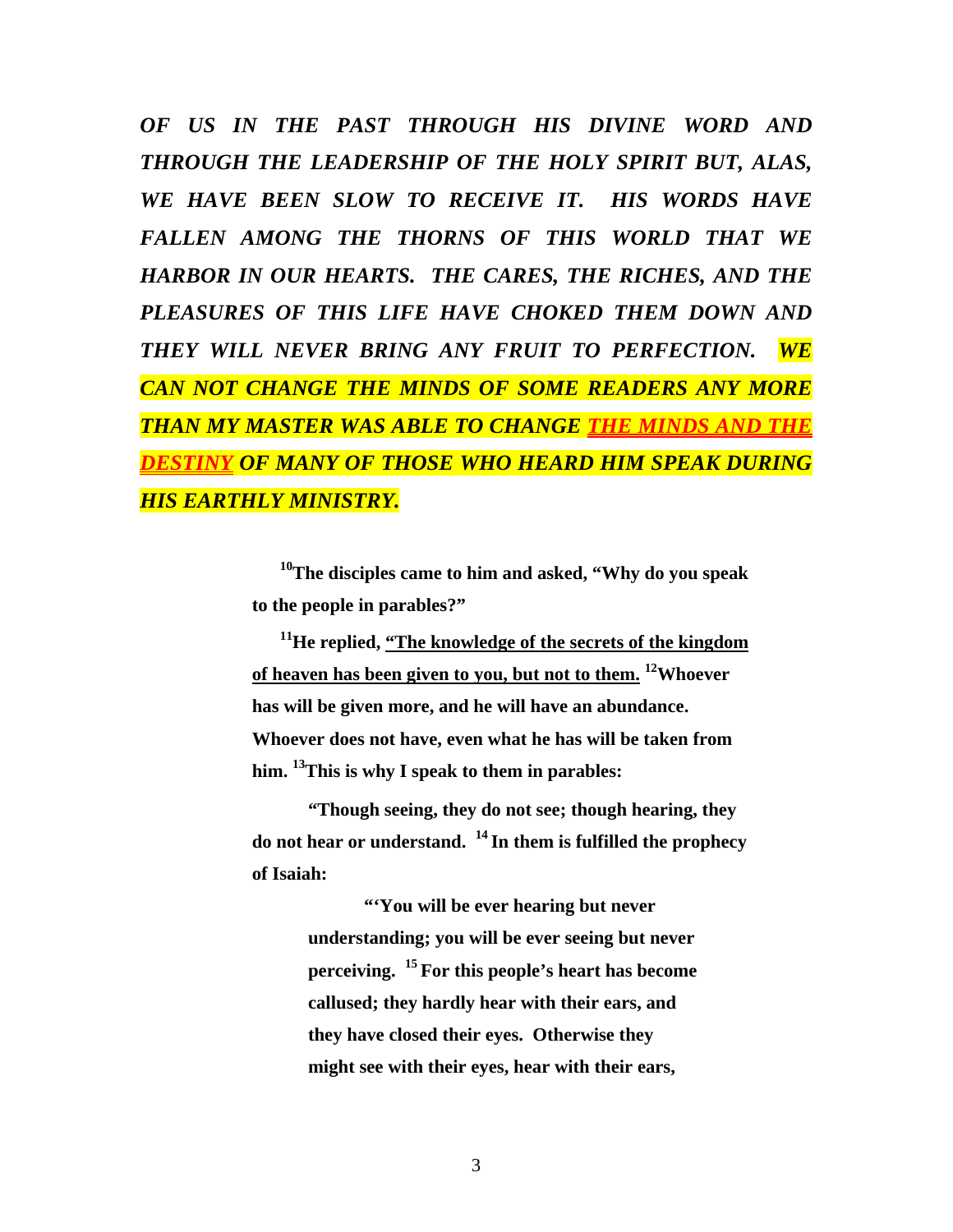*OF US IN THE PAST THROUGH HIS DIVINE WORD AND THROUGH THE LEADERSHIP OF THE HOLY SPIRIT BUT, ALAS, WE HAVE BEEN SLOW TO RECEIVE IT. HIS WORDS HAVE FALLEN AMONG THE THORNS OF THIS WORLD THAT WE HARBOR IN OUR HEARTS. THE CARES, THE RICHES, AND THE*  PLEASURES OF THIS LIFE HAVE CHOKED THEM DOWN AND *THEY WILL NEVER BRING ANY FRUIT TO PERFECTION. WE CAN NOT CHANGE THE MINDS OF SOME READERS ANY MORE THAN MY MASTER WAS ABLE TO CHANGE THE MINDS AND THE DESTINY OF MANY OF THOSE WHO HEARD HIM SPEAK DURING HIS EARTHLY MINISTRY.* 

> **10The disciples came to him and asked, "Why do you speak to the people in parables?"**

> **11He replied, "The knowledge of the secrets of the kingdom of heaven has been given to you, but not to them. 12Whoever has will be given more, and he will have an abundance. Whoever does not have, even what he has will be taken from him. 13This is why I speak to them in parables:**

> **"Though seeing, they do not see; though hearing, they do not hear or understand. 14 In them is fulfilled the prophecy of Isaiah:**

> > **"'You will be ever hearing but never understanding; you will be ever seeing but never perceiving. 15 For this people's heart has become callused; they hardly hear with their ears, and they have closed their eyes. Otherwise they might see with their eyes, hear with their ears,**

> > > 3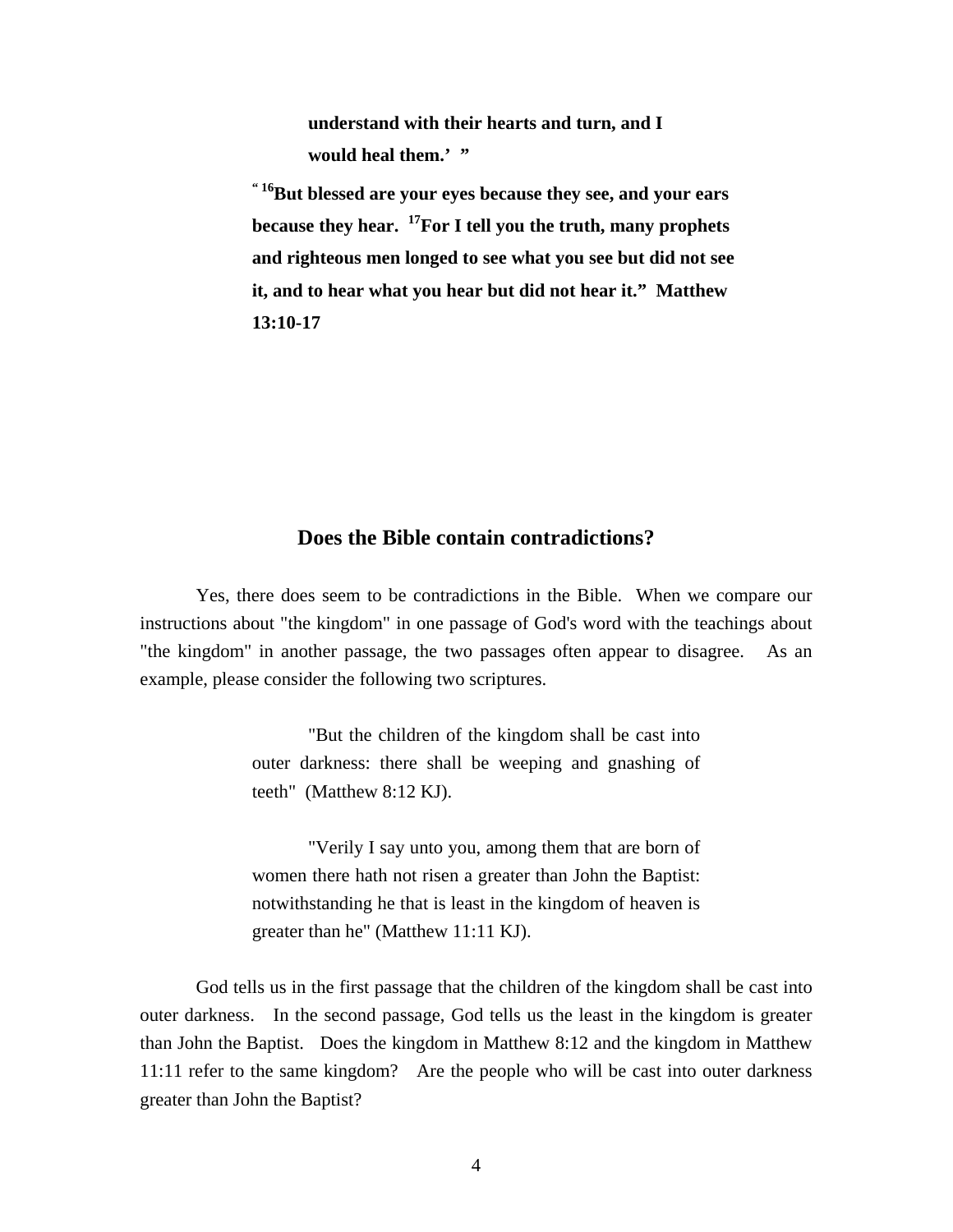**understand with their hearts and turn, and I**  would heal them.' "

**" 16But blessed are your eyes because they see, and your ears because they hear. 17For I tell you the truth, many prophets and righteous men longed to see what you see but did not see it, and to hear what you hear but did not hear it." Matthew 13:10-17** 

#### **Does the Bible contain contradictions?**

Yes, there does seem to be contradictions in the Bible. When we compare our instructions about "the kingdom" in one passage of God's word with the teachings about "the kingdom" in another passage, the two passages often appear to disagree. As an example, please consider the following two scriptures.

> "But the children of the kingdom shall be cast into outer darkness: there shall be weeping and gnashing of teeth" (Matthew 8:12 KJ).

> "Verily I say unto you, among them that are born of women there hath not risen a greater than John the Baptist: notwithstanding he that is least in the kingdom of heaven is greater than he" (Matthew 11:11 KJ).

 God tells us in the first passage that the children of the kingdom shall be cast into outer darkness. In the second passage, God tells us the least in the kingdom is greater than John the Baptist. Does the kingdom in Matthew 8:12 and the kingdom in Matthew 11:11 refer to the same kingdom? Are the people who will be cast into outer darkness greater than John the Baptist?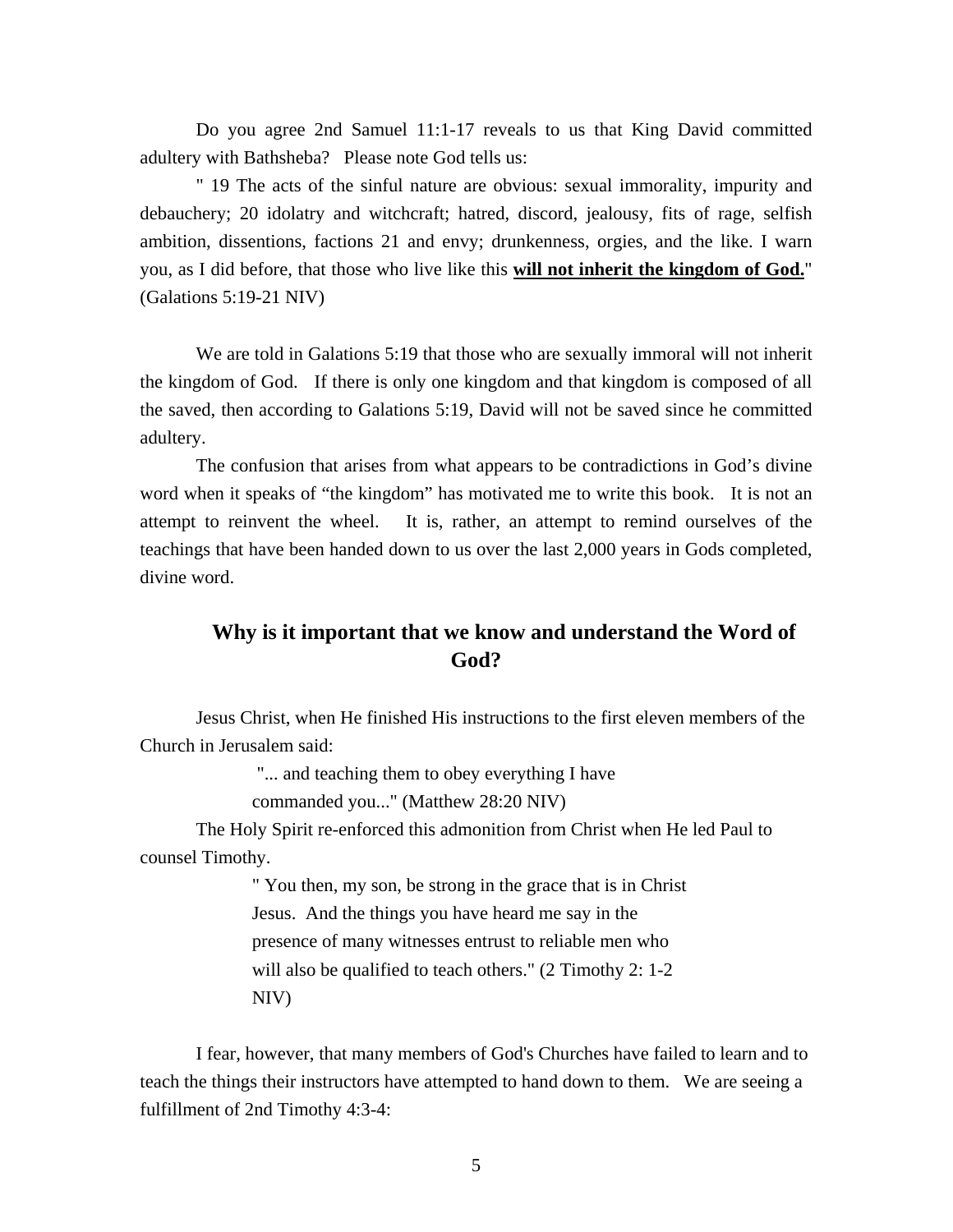Do you agree 2nd Samuel 11:1-17 reveals to us that King David committed adultery with Bathsheba? Please note God tells us:

" 19 The acts of the sinful nature are obvious: sexual immorality, impurity and debauchery; 20 idolatry and witchcraft; hatred, discord, jealousy, fits of rage, selfish ambition, dissentions, factions 21 and envy; drunkenness, orgies, and the like. I warn you, as I did before, that those who live like this **will not inherit the kingdom of God.**" (Galations 5:19-21 NIV)

We are told in Galations 5:19 that those who are sexually immoral will not inherit the kingdom of God. If there is only one kingdom and that kingdom is composed of all the saved, then according to Galations 5:19, David will not be saved since he committed adultery.

The confusion that arises from what appears to be contradictions in God's divine word when it speaks of "the kingdom" has motivated me to write this book. It is not an attempt to reinvent the wheel. It is, rather, an attempt to remind ourselves of the teachings that have been handed down to us over the last 2,000 years in Gods completed, divine word.

### **Why is it important that we know and understand the Word of God?**

 Jesus Christ, when He finished His instructions to the first eleven members of the Church in Jerusalem said:

"... and teaching them to obey everything I have

commanded you..." (Matthew 28:20 NIV)

 The Holy Spirit re-enforced this admonition from Christ when He led Paul to counsel Timothy.

> " You then, my son, be strong in the grace that is in Christ Jesus. And the things you have heard me say in the presence of many witnesses entrust to reliable men who will also be qualified to teach others." (2 Timothy 2: 1-2) NIV)

 I fear, however, that many members of God's Churches have failed to learn and to teach the things their instructors have attempted to hand down to them. We are seeing a fulfillment of 2nd Timothy 4:3-4: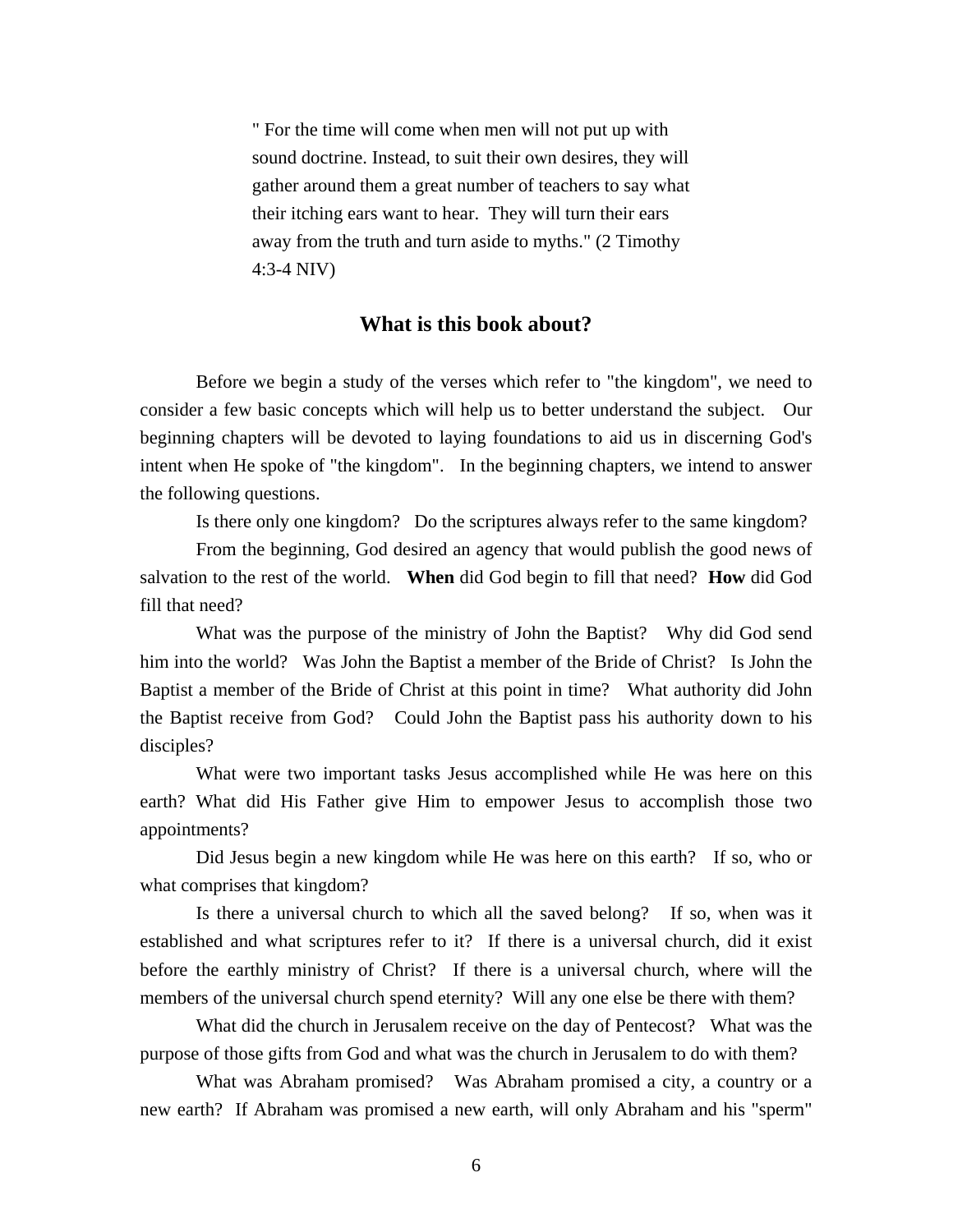" For the time will come when men will not put up with sound doctrine. Instead, to suit their own desires, they will gather around them a great number of teachers to say what their itching ears want to hear. They will turn their ears away from the truth and turn aside to myths." (2 Timothy 4:3-4 NIV)

#### **What is this book about?**

 Before we begin a study of the verses which refer to "the kingdom", we need to consider a few basic concepts which will help us to better understand the subject. Our beginning chapters will be devoted to laying foundations to aid us in discerning God's intent when He spoke of "the kingdom". In the beginning chapters, we intend to answer the following questions.

Is there only one kingdom? Do the scriptures always refer to the same kingdom?

 From the beginning, God desired an agency that would publish the good news of salvation to the rest of the world. **When** did God begin to fill that need? **How** did God fill that need?

What was the purpose of the ministry of John the Baptist? Why did God send him into the world? Was John the Baptist a member of the Bride of Christ? Is John the Baptist a member of the Bride of Christ at this point in time? What authority did John the Baptist receive from God? Could John the Baptist pass his authority down to his disciples?

 What were two important tasks Jesus accomplished while He was here on this earth? What did His Father give Him to empower Jesus to accomplish those two appointments?

 Did Jesus begin a new kingdom while He was here on this earth? If so, who or what comprises that kingdom?

 Is there a universal church to which all the saved belong? If so, when was it established and what scriptures refer to it? If there is a universal church, did it exist before the earthly ministry of Christ? If there is a universal church, where will the members of the universal church spend eternity? Will any one else be there with them?

 What did the church in Jerusalem receive on the day of Pentecost? What was the purpose of those gifts from God and what was the church in Jerusalem to do with them?

 What was Abraham promised? Was Abraham promised a city, a country or a new earth? If Abraham was promised a new earth, will only Abraham and his "sperm"